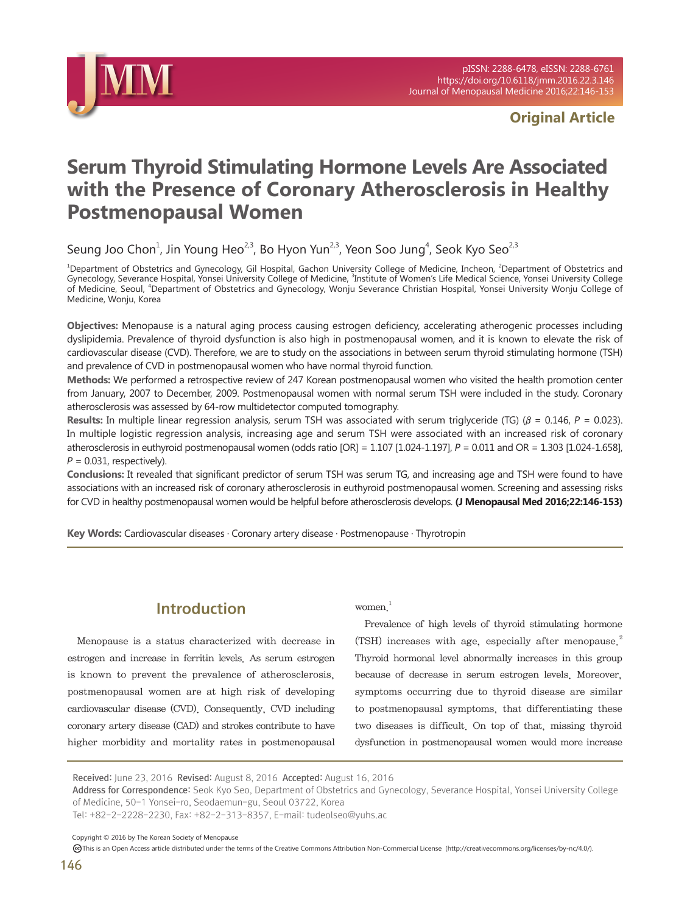

# **Original Article**

# **Serum Thyroid Stimulating Hormone Levels Are Associated with the Presence of Coronary Atherosclerosis in Healthy Postmenopausal Women**

Seung Joo Chon<sup>1</sup>, Jin Young Heo<sup>2,3</sup>, Bo Hyon Yun<sup>2,3</sup>, Yeon Soo Jung<sup>4</sup>, Seok Kyo Seo<sup>2,3</sup>

<sup>1</sup>Department of Obstetrics and Gynecology, Gil Hospital, Gachon University College of Medicine, Incheon, <sup>2</sup>Department of Obstetrics and<br>Gynecology, Severance Hospital, Yonsei University College of Medicine, <sup>3</sup>Institute of Medicine, Seoul, <sup>4</sup>Department of Obstetrics and Gynecology, Wonju Severance Christian Hospital, Yonsei University Wonju College of Medicine, Wonju, Korea

**Objectives:** Menopause is a natural aging process causing estrogen deficiency, accelerating atherogenic processes including dyslipidemia. Prevalence of thyroid dysfunction is also high in postmenopausal women, and it is known to elevate the risk of cardiovascular disease (CVD). Therefore, we are to study on the associations in between serum thyroid stimulating hormone (TSH) and prevalence of CVD in postmenopausal women who have normal thyroid function.

**Methods:** We performed a retrospective review of 247 Korean postmenopausal women who visited the health promotion center from January, 2007 to December, 2009. Postmenopausal women with normal serum TSH were included in the study. Coronary atherosclerosis was assessed by 64-row multidetector computed tomography.

**Results:** In multiple linear regression analysis, serum TSH was associated with serum triglyceride (TG) (β = 0.146, P = 0.023). In multiple logistic regression analysis, increasing age and serum TSH were associated with an increased risk of coronary atherosclerosis in euthyroid postmenopausal women (odds ratio  $[OR] = 1.107$   $[1.024-1.197]$ ,  $P = 0.011$  and  $OR = 1.303$   $[1.024-1.658]$ ,  $P = 0.031$ , respectively).

**Conclusions:** It revealed that significant predictor of serum TSH was serum TG, and increasing age and TSH were found to have associations with an increased risk of coronary atherosclerosis in euthyroid postmenopausal women. Screening and assessing risks for CVD in healthy postmenopausal women would be helpful before atherosclerosis develops. **(J Menopausal Med 2016;22:146-153)**

**Key Words:** Cardiovascular diseases · Coronary artery disease · Postmenopause · Thyrotropin

# Introduction

Menopause is a status characterized with decrease in estrogen and increase in ferritin levels. As serum estrogen is known to prevent the prevalence of atherosclerosis, postmenopausal women are at high risk of developing cardiovascular disease (CVD). Consequently, CVD including coronary artery disease (CAD) and strokes contribute to have higher morbidity and mortality rates in postmenopausal women $1$ 

Prevalence of high levels of thyroid stimulating hormone (TSH) increases with age, especially after menopause.<sup>2</sup> Thyroid hormonal level abnormally increases in this group because of decrease in serum estrogen levels. Moreover, symptoms occurring due to thyroid disease are similar to postmenopausal symptoms, that differentiating these two diseases is difficult. On top of that, missing thyroid dysfunction in postmenopausal women would more increase

Tel: +82-2-2228-2230, Fax: +82-2-313-8357, E-mail: tudeolseo@yuhs.ac

Copyright © 2016 by The Korean Society of Menopause

Received: June 23, 2016 Revised: August 8, 2016 Accepted: August 16, 2016

Address for Correspondence: Seok Kyo Seo, Department of Obstetrics and Gynecology, Severance Hospital, Yonsei University College of Medicine, 50-1 Yonsei-ro, Seodaemun-gu, Seoul 03722, Korea

This is an Open Access article distributed under the terms of the Creative Commons Attribution Non-Commercial License (http://creativecommons.org/licenses/by-nc/4.0/).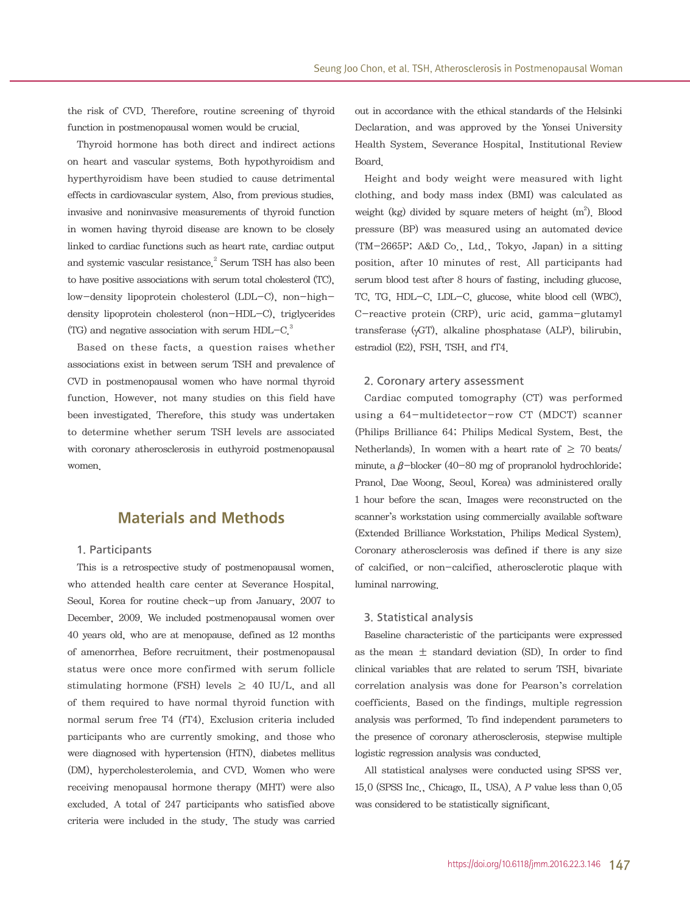the risk of CVD. Therefore, routine screening of thyroid function in postmenopausal women would be crucial.

Thyroid hormone has both direct and indirect actions on heart and vascular systems. Both hypothyroidism and hyperthyroidism have been studied to cause detrimental effects in cardiovascular system. Also, from previous studies, invasive and noninvasive measurements of thyroid function in women having thyroid disease are known to be closely linked to cardiac functions such as heart rate, cardiac output and systemic vascular resistance.<sup>2</sup> Serum TSH has also been to have positive associations with serum total cholesterol (TC), low-density lipoprotein cholesterol (LDL-C), non-highdensity lipoprotein cholesterol (non-HDL-C), triglycerides (TG) and negative association with serum  $HDL-C<sup>3</sup>$ .

Based on these facts, a question raises whether associations exist in between serum TSH and prevalence of CVD in postmenopausal women who have normal thyroid function. However, not many studies on this field have been investigated. Therefore, this study was undertaken to determine whether serum TSH levels are associated with coronary atherosclerosis in euthyroid postmenopausal women.

## Materials and Methods

#### 1. Participants

This is a retrospective study of postmenopausal women, who attended health care center at Severance Hospital, Seoul, Korea for routine check-up from January, 2007 to December, 2009. We included postmenopausal women over 40 years old, who are at menopause, defined as 12 months of amenorrhea. Before recruitment, their postmenopausal status were once more confirmed with serum follicle stimulating hormone (FSH) levels  $\geq$  40 IU/L, and all of them required to have normal thyroid function with normal serum free T4 (fT4). Exclusion criteria included participants who are currently smoking, and those who were diagnosed with hypertension (HTN), diabetes mellitus (DM), hypercholesterolemia, and CVD. Women who were receiving menopausal hormone therapy (MHT) were also excluded. A total of 247 participants who satisfied above criteria were included in the study. The study was carried out in accordance with the ethical standards of the Helsinki Declaration, and was approved by the Yonsei University Health System, Severance Hospital, Institutional Review Board.

Height and body weight were measured with light clothing, and body mass index (BMI) was calculated as weight (kg) divided by square meters of height  $(m<sup>2</sup>)$ . Blood pressure (BP) was measured using an automated device (TM-2665P; A&D Co., Ltd., Tokyo, Japan) in a sitting position, after 10 minutes of rest. All participants had serum blood test after 8 hours of fasting, including glucose, TC, TG, HDL-C, LDL-C, glucose, white blood cell (WBC), C-reactive protein (CRP), uric acid, gamma-glutamyl transferase (γGT), alkaline phosphatase (ALP), bilirubin, estradiol (E2), FSH, TSH, and fT4.

#### 2. Coronary artery assessment

Cardiac computed tomography (CT) was performed using a 64-multidetector-row CT (MDCT) scanner (Philips Brilliance 64; Philips Medical System, Best, the Netherlands). In women with a heart rate of  $\geq$  70 beats/ minute, a  $\beta$ -blocker (40-80 mg of propranolol hydrochloride; Pranol, Dae Woong, Seoul, Korea) was administered orally 1 hour before the scan. Images were reconstructed on the scanner's workstation using commercially available software (Extended Brilliance Workstation, Philips Medical System). Coronary atherosclerosis was defined if there is any size of calcified, or non-calcified, atherosclerotic plaque with luminal narrowing.

#### 3. Statistical analysis

Baseline characteristic of the participants were expressed as the mean  $\pm$  standard deviation (SD). In order to find clinical variables that are related to serum TSH, bivariate correlation analysis was done for Pearson's correlation coefficients. Based on the findings, multiple regression analysis was performed. To find independent parameters to the presence of coronary atherosclerosis, stepwise multiple logistic regression analysis was conducted.

All statistical analyses were conducted using SPSS ver. 15.0 (SPSS Inc., Chicago, IL, USA). A P value less than 0.05 was considered to be statistically significant.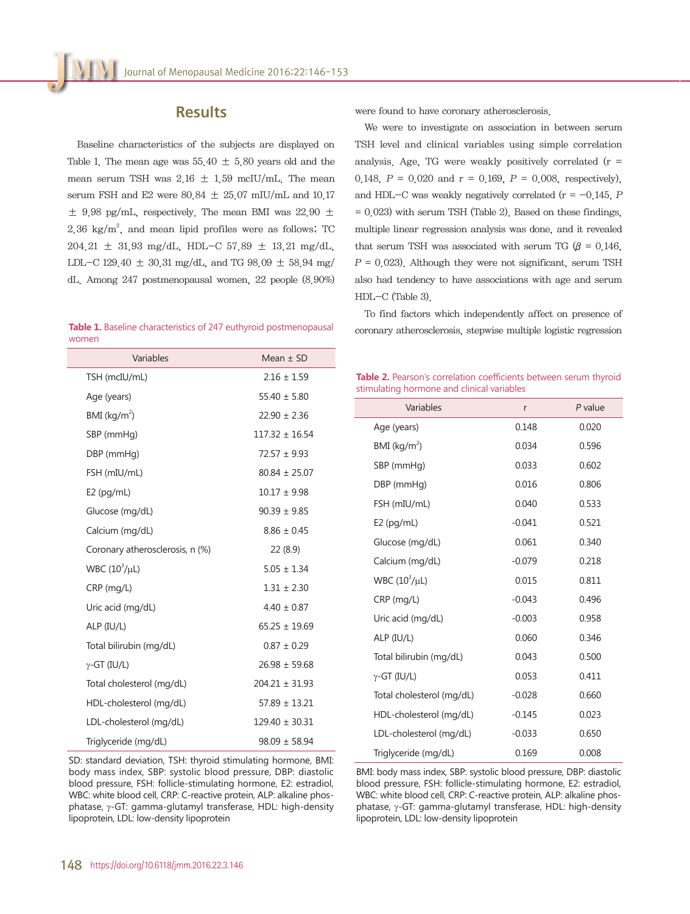### **Results**

Baseline characteristics of the subjects are displayed on Table 1. The mean age was  $55.40 \pm 5.80$  years old and the mean serum TSH was  $2.16 \pm 1.59$  mcIU/mL. The mean serum FSH and E2 were  $80.84 \pm 25.07$  mIU/mL and  $10.17$  $\pm$  9.98 pg/mL, respectively. The mean BMI was 22.90  $\pm$  $2.36 \text{ kg/m}^2$ , and mean lipid profiles were as follows; TC 204.21 ± 31.93 mg/dL, HDL-C 57.89 ± 13.21 mg/dL, LDL-C 129.40  $\pm$  30.31 mg/dL, and TG 98.09  $\pm$  58.94 mg/ dL. Among 247 postmenopausal women, 22 people (8.90%)

wo

were found to have coronary atherosclerosis.

We were to investigate on association in between serum TSH level and clinical variables using simple correlation analysis. Age, TG were weakly positively correlated  $(r =$ 0.148,  $P = 0.020$  and  $r = 0.169$ ,  $P = 0.008$ , respectively), and HDL-C was weakly negatively correlated ( $r = -0.145$ , P  $= 0.023$ ) with serum TSH (Table 2). Based on these findings, multiple linear regression analysis was done, and it revealed that serum TSH was associated with serum TG ( $\beta$  = 0.146,  $P = 0.023$ . Although they were not significant, serum TSH also had tendency to have associations with age and serum HDL-C (Table 3).

To find factors which independently affect on presence of Table 1. Baseline characteristics of 247 euthyroid postmenopausal coronary atherosclerosis, stepwise multiple logistic regression

| Variables                       | Mean $\pm$ SD      |
|---------------------------------|--------------------|
| TSH (mcIU/mL)                   | $2.16 \pm 1.59$    |
| Age (years)                     | $55.40 \pm 5.80$   |
| $BMI$ (kg/m <sup>2</sup> )      | $22.90 \pm 2.36$   |
| SBP (mmHg)                      | $117.32 \pm 16.54$ |
| DBP (mmHg)                      | $72.57 \pm 9.93$   |
| FSH (mIU/mL)                    | $80.84 \pm 25.07$  |
| $E2$ (pg/mL)                    | $10.17 \pm 9.98$   |
| Glucose (mg/dL)                 | $90.39 \pm 9.85$   |
| Calcium (mg/dL)                 | $8.86 \pm 0.45$    |
| Coronary atherosclerosis, n (%) | 22(8.9)            |
| WBC $(10^3/\mu L)$              | $5.05 \pm 1.34$    |
| CRP (mg/L)                      | $1.31 \pm 2.30$    |
| Uric acid (mg/dL)               | $4.40 \pm 0.87$    |
| $ALP$ ( $IU/L$ )                | $65.25 \pm 19.69$  |
| Total bilirubin (mg/dL)         | $0.87 \pm 0.29$    |
| $\gamma$ -GT (IU/L)             | $26.98 \pm 59.68$  |
| Total cholesterol (mg/dL)       | $204.21 \pm 31.93$ |
| HDL-cholesterol (mg/dL)         | $57.89 \pm 13.21$  |
| LDL-cholesterol (mg/dL)         | $129.40 \pm 30.31$ |
| Triglyceride (mg/dL)            | $98.09 \pm 58.94$  |
|                                 |                    |

**Table 2.** Pearson's correlation coefficients between serum thyroid stimulating hormone and clinical variables

| Variables                  | r        | $P$ value |
|----------------------------|----------|-----------|
| Age (years)                | 0.148    | 0.020     |
| $BMI$ (kg/m <sup>2</sup> ) | 0.034    | 0.596     |
| SBP (mmHg)                 | 0.033    | 0.602     |
| DBP (mmHg)                 | 0.016    | 0.806     |
| FSH (mIU/mL)               | 0.040    | 0.533     |
| $E2$ (pg/mL)               | $-0.041$ | 0.521     |
| Glucose (mg/dL)            | 0.061    | 0.340     |
| Calcium (mg/dL)            | $-0.079$ | 0.218     |
| WBC $(10^3/\mu L)$         | 0.015    | 0.811     |
| $CRP$ (mg/L)               | $-0.043$ | 0.496     |
| Uric acid (mg/dL)          | $-0.003$ | 0.958     |
| ALP (IU/L)                 | 0.060    | 0.346     |
| Total bilirubin (mg/dL)    | 0.043    | 0.500     |
| $\gamma$ -GT (IU/L)        | 0.053    | 0.411     |
| Total cholesterol (mg/dL)  | $-0.028$ | 0.660     |
| HDL-cholesterol (mg/dL)    | $-0.145$ | 0.023     |
| LDL-cholesterol (mg/dL)    | $-0.033$ | 0.650     |
| Triglyceride (mg/dL)       | 0.169    | 0.008     |

SD: standard deviation, TSH: thyroid stimulating hormone, BMI: body mass index, SBP: systolic blood pressure, DBP: diastolic blood pressure, FSH: follicle-stimulating hormone, E2: estradiol, WBC: white blood cell, CRP: C-reactive protein, ALP: alkaline phosphatase, γ-GT: gamma-glutamyl transferase, HDL: high-density lipoprotein, LDL: low-density lipoprotein

BMI: body mass index, SBP: systolic blood pressure, DBP: diastolic blood pressure, FSH: follicle-stimulating hormone, E2: estradiol, WBC: white blood cell, CRP: C-reactive protein, ALP: alkaline phosphatase, γ-GT: gamma-glutamyl transferase, HDL: high-density lipoprotein, LDL: low-density lipoprotein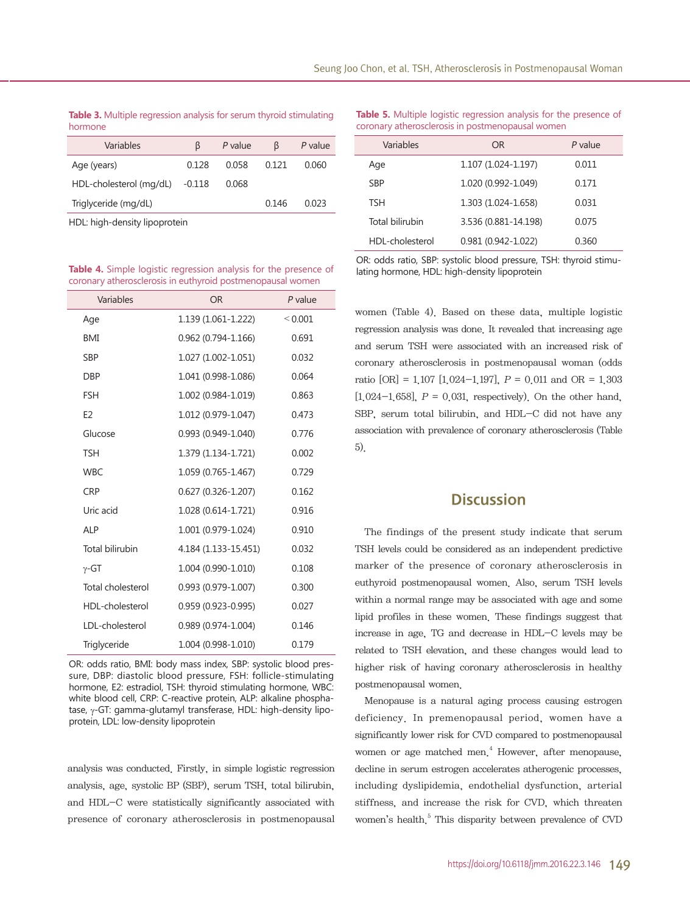#### **Table 3.** Multiple regression analysis for serum thyroid stimulating hormone

| Variables               | B        | P value | B     | P value |
|-------------------------|----------|---------|-------|---------|
| Age (years)             | 0.128    | 0.058   | 0.121 | 0.060   |
| HDL-cholesterol (mg/dL) | $-0.118$ | 0.068   |       |         |
| Triglyceride (mg/dL)    |          |         | 0.146 | 0.023   |
|                         |          |         |       |         |

HDL: high-density lipoprotein

| Variables         | OR.                    | $P$ value   |
|-------------------|------------------------|-------------|
| Age               | 1.139 (1.061-1.222)    | ${}< 0.001$ |
| <b>BMI</b>        | $0.962(0.794 - 1.166)$ | 0.691       |
| <b>SBP</b>        | 1.027 (1.002-1.051)    | 0.032       |
| <b>DBP</b>        | 1.041 (0.998-1.086)    | 0.064       |
| <b>FSH</b>        | 1.002 (0.984-1.019)    | 0.863       |
| F <sub>2</sub>    | 1.012 (0.979-1.047)    | 0.473       |
| Glucose           | $0.993(0.949 - 1.040)$ | 0.776       |
| <b>TSH</b>        | 1.379 (1.134-1.721)    | 0.002       |
| <b>WBC</b>        | 1.059 (0.765-1.467)    | 0.729       |
| <b>CRP</b>        | $0.627(0.326 - 1.207)$ | 0.162       |
| Uric acid         | 1.028 (0.614-1.721)    | 0.916       |
| <b>ALP</b>        | 1.001 (0.979-1.024)    | 0.910       |
| Total bilirubin   | 4.184 (1.133-15.451)   | 0.032       |
| $\gamma$ -GT      | 1.004 (0.990-1.010)    | 0.108       |
| Total cholesterol | $0.993(0.979-1.007)$   | 0.300       |
| HDL-cholesterol   | $0.959(0.923 - 0.995)$ | 0.027       |
| LDL-cholesterol   | $0.989(0.974 - 1.004)$ | 0.146       |
| Triglyceride      | 1.004 (0.998-1.010)    | 0.179       |

OR: odds ratio, BMI: body mass index, SBP: systolic blood pressure, DBP: diastolic blood pressure, FSH: follicle-stimulating hormone, E2: estradiol, TSH: thyroid stimulating hormone, WBC: white blood cell, CRP: C-reactive protein, ALP: alkaline phosphatase, γ-GT: gamma-glutamyl transferase, HDL: high-density lipoprotein, LDL: low-density lipoprotein

analysis was conducted. Firstly, in simple logistic regression analysis, age, systolic BP (SBP), serum TSH, total bilirubin, and HDL-C were statistically significantly associated with presence of coronary atherosclerosis in postmenopausal

**Table 5.** Multiple logistic regression analysis for the presence of coronary atherosclerosis in postmenopausal women

| Variables       | OR                     | P value |
|-----------------|------------------------|---------|
| Age             | 1.107 (1.024-1.197)    | 0.011   |
| <b>SBP</b>      | 1.020 (0.992-1.049)    | 0.171   |
| <b>TSH</b>      | 1.303 (1.024-1.658)    | 0.031   |
| Total bilirubin | 3.536 (0.881-14.198)   | 0.075   |
| HDL-cholesterol | $0.981(0.942 - 1.022)$ | 0.360   |

Table 4. Simple logistic regression analysis for the presence of OR: odds ratio, SBP: systolic blood pressure, TSH: thyroid stimu-<br>coronary atherosclerosis in euthyroid postmenopausal women

women (Table 4). Based on these data, multiple logistic regression analysis was done. It revealed that increasing age and serum TSH were associated with an increased risk of coronary atherosclerosis in postmenopausal woman (odds ratio  $[OR] = 1.107$   $[1.024 - 1.197]$ ,  $P = 0.011$  and  $OR = 1.303$ [1.024-1.658],  $P = 0.031$ , respectively). On the other hand, SBP, serum total bilirubin, and HDL-C did not have any association with prevalence of coronary atherosclerosis (Table 5).

### **Discussion**

The findings of the present study indicate that serum TSH levels could be considered as an independent predictive marker of the presence of coronary atherosclerosis in euthyroid postmenopausal women. Also, serum TSH levels within a normal range may be associated with age and some lipid profiles in these women. These findings suggest that increase in age, TG and decrease in HDL-C levels may be related to TSH elevation, and these changes would lead to higher risk of having coronary atherosclerosis in healthy postmenopausal women.

Menopause is a natural aging process causing estrogen deficiency. In premenopausal period, women have a significantly lower risk for CVD compared to postmenopausal women or age matched men.<sup>4</sup> However, after menopause, decline in serum estrogen accelerates atherogenic processes, including dyslipidemia, endothelial dysfunction, arterial stiffness, and increase the risk for CVD, which threaten women's health.<sup>5</sup> This disparity between prevalence of CVD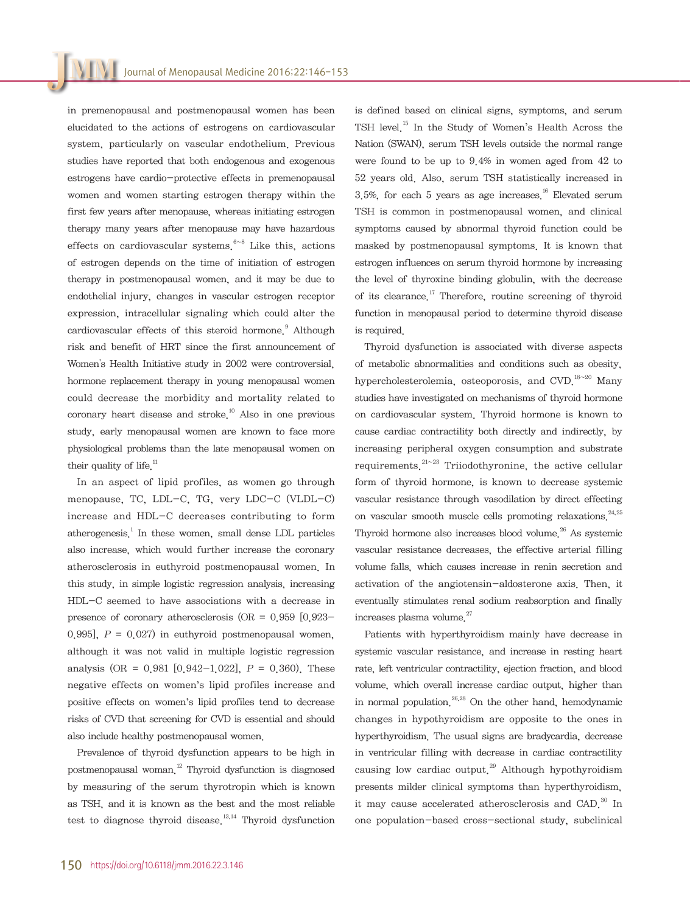in premenopausal and postmenopausal women has been elucidated to the actions of estrogens on cardiovascular system, particularly on vascular endothelium. Previous studies have reported that both endogenous and exogenous estrogens have cardio-protective effects in premenopausal women and women starting estrogen therapy within the first few years after menopause, whereas initiating estrogen therapy many years after menopause may have hazardous effects on cardiovascular systems.<sup>6~8</sup> Like this, actions of estrogen depends on the time of initiation of estrogen therapy in postmenopausal women, and it may be due to endothelial injury, changes in vascular estrogen receptor expression, intracellular signaling which could alter the cardiovascular effects of this steroid hormone.<sup>9</sup> Although risk and benefit of HRT since the first announcement of Women's Health Initiative study in 2002 were controversial, hormone replacement therapy in young menopausal women could decrease the morbidity and mortality related to coronary heart disease and stroke.<sup>10</sup> Also in one previous study, early menopausal women are known to face more physiological problems than the late menopausal women on their quality of life. $11$ 

In an aspect of lipid profiles, as women go through menopause, TC, LDL-C, TG, very LDC-C (VLDL-C) increase and HDL-C decreases contributing to form atherogenesis.<sup>1</sup> In these women, small dense LDL particles also increase, which would further increase the coronary atherosclerosis in euthyroid postmenopausal women. In this study, in simple logistic regression analysis, increasing HDL-C seemed to have associations with a decrease in presence of coronary atherosclerosis (OR =  $0.959$  [ $0.923-$ 0.995],  $P = 0.027$  in euthyroid postmenopausal women. although it was not valid in multiple logistic regression analysis (OR =  $0.981$  [0.942-1.022],  $P = 0.360$ ). These negative effects on women's lipid profiles increase and positive effects on women's lipid profiles tend to decrease risks of CVD that screening for CVD is essential and should also include healthy postmenopausal women.

Prevalence of thyroid dysfunction appears to be high in postmenopausal woman.12 Thyroid dysfunction is diagnosed by measuring of the serum thyrotropin which is known as TSH, and it is known as the best and the most reliable test to diagnose thyroid disease  $13,14$  Thyroid dysfunction is defined based on clinical signs, symptoms, and serum TSH level.15 In the Study of Women's Health Across the Nation (SWAN), serum TSH levels outside the normal range were found to be up to 9.4% in women aged from 42 to 52 years old. Also, serum TSH statistically increased in 3.5%, for each 5 years as age increases.<sup>16</sup> Elevated serum TSH is common in postmenopausal women, and clinical symptoms caused by abnormal thyroid function could be masked by postmenopausal symptoms. It is known that estrogen influences on serum thyroid hormone by increasing the level of thyroxine binding globulin, with the decrease of its clearance.<sup>17</sup> Therefore, routine screening of thyroid function in menopausal period to determine thyroid disease is required.

Thyroid dysfunction is associated with diverse aspects of metabolic abnormalities and conditions such as obesity, hypercholesterolemia, osteoporosis, and CVD  $^{18-20}$  Many studies have investigated on mechanisms of thyroid hormone on cardiovascular system. Thyroid hormone is known to cause cardiac contractility both directly and indirectly, by increasing peripheral oxygen consumption and substrate requirements.<sup>21~23</sup> Triiodothyronine, the active cellular form of thyroid hormone, is known to decrease systemic vascular resistance through vasodilation by direct effecting on vascular smooth muscle cells promoting relaxations.<sup>24,25</sup> Thyroid hormone also increases blood volume  $^{26}$  As systemic vascular resistance decreases, the effective arterial filling volume falls, which causes increase in renin secretion and activation of the angiotensin-aldosterone axis. Then, it eventually stimulates renal sodium reabsorption and finally increases plasma volume.<sup>27</sup>

Patients with hyperthyroidism mainly have decrease in systemic vascular resistance, and increase in resting heart rate, left ventricular contractility, ejection fraction, and blood volume, which overall increase cardiac output, higher than in normal population.<sup>26,28</sup> On the other hand, hemodynamic changes in hypothyroidism are opposite to the ones in hyperthyroidism. The usual signs are bradycardia, decrease in ventricular filling with decrease in cardiac contractility causing low cardiac output.<sup>29</sup> Although hypothyroidism presents milder clinical symptoms than hyperthyroidism, it may cause accelerated atherosclerosis and CAD $^{30}$  In one population-based cross-sectional study, subclinical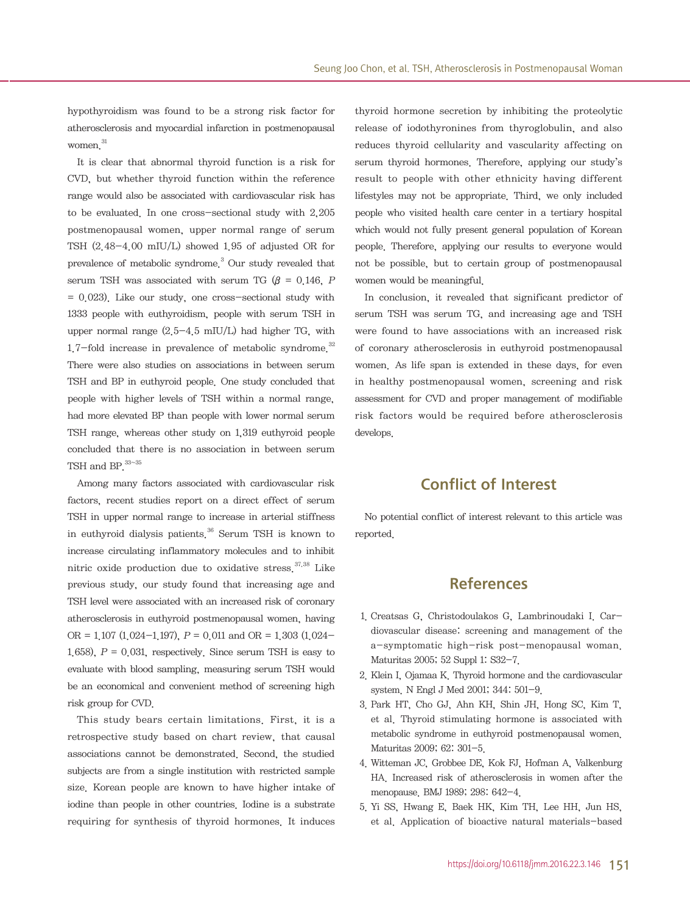hypothyroidism was found to be a strong risk factor for atherosclerosis and myocardial infarction in postmenopausal women.<sup>31</sup>

It is clear that abnormal thyroid function is a risk for CVD, but whether thyroid function within the reference range would also be associated with cardiovascular risk has to be evaluated. In one cross-sectional study with 2,205 postmenopausal women, upper normal range of serum TSH (2.48-4.00 mIU/L) showed 1.95 of adjusted OR for prevalence of metabolic syndrome.<sup>3</sup> Our study revealed that serum TSH was associated with serum TG ( $\beta$  = 0.146, P  $= 0.023$ . Like our study, one cross-sectional study with 1333 people with euthyroidism, people with serum TSH in upper normal range (2.5-4.5 mIU/L) had higher TG, with  $1.7$ -fold increase in prevalence of metabolic syndrome.<sup>32</sup> There were also studies on associations in between serum TSH and BP in euthyroid people. One study concluded that people with higher levels of TSH within a normal range, had more elevated BP than people with lower normal serum TSH range, whereas other study on 1,319 euthyroid people concluded that there is no association in between serum TSH and BP  $33~35$ 

Among many factors associated with cardiovascular risk factors, recent studies report on a direct effect of serum TSH in upper normal range to increase in arterial stiffness in euthyroid dialysis patients  $36$  Serum TSH is known to increase circulating inflammatory molecules and to inhibit nitric oxide production due to oxidative stress.<sup>37,38</sup> Like previous study, our study found that increasing age and TSH level were associated with an increased risk of coronary atherosclerosis in euthyroid postmenopausal women, having OR =  $1.107$  (1.024-1.197),  $P = 0.011$  and OR =  $1.303$  (1.024-1.658),  $P = 0.031$ , respectively. Since serum TSH is easy to evaluate with blood sampling, measuring serum TSH would be an economical and convenient method of screening high risk group for CVD.

This study bears certain limitations. First, it is a retrospective study based on chart review, that causal associations cannot be demonstrated. Second, the studied subjects are from a single institution with restricted sample size. Korean people are known to have higher intake of iodine than people in other countries. Iodine is a substrate requiring for synthesis of thyroid hormones. It induces

thyroid hormone secretion by inhibiting the proteolytic release of iodothyronines from thyroglobulin, and also reduces thyroid cellularity and vascularity affecting on serum thyroid hormones. Therefore, applying our study's result to people with other ethnicity having different lifestyles may not be appropriate. Third, we only included people who visited health care center in a tertiary hospital which would not fully present general population of Korean people. Therefore, applying our results to everyone would not be possible, but to certain group of postmenopausal women would be meaningful.

In conclusion, it revealed that significant predictor of serum TSH was serum TG, and increasing age and TSH were found to have associations with an increased risk of coronary atherosclerosis in euthyroid postmenopausal women. As life span is extended in these days, for even in healthy postmenopausal women, screening and risk assessment for CVD and proper management of modifiable risk factors would be required before atherosclerosis develops.

# Conflict of Interest

No potential conflict of interest relevant to this article was reported.

# References

- 1. Creatsas G, Christodoulakos G, Lambrinoudaki I. Cardiovascular disease: screening and management of the a-symptomatic high-risk post-menopausal woman. Maturitas 2005; 52 Suppl 1: S32-7.
- 2. Klein I, Ojamaa K. Thyroid hormone and the cardiovascular system. N Engl J Med 2001; 344: 501-9.
- 3. Park HT, Cho GJ, Ahn KH, Shin JH, Hong SC, Kim T, et al. Thyroid stimulating hormone is associated with metabolic syndrome in euthyroid postmenopausal women. Maturitas 2009; 62: 301-5.
- 4. Witteman JC, Grobbee DE, Kok FJ, Hofman A, Valkenburg HA. Increased risk of atherosclerosis in women after the menopause. BMJ 1989; 298: 642-4.
- 5. Yi SS, Hwang E, Baek HK, Kim TH, Lee HH, Jun HS, et al. Application of bioactive natural materials-based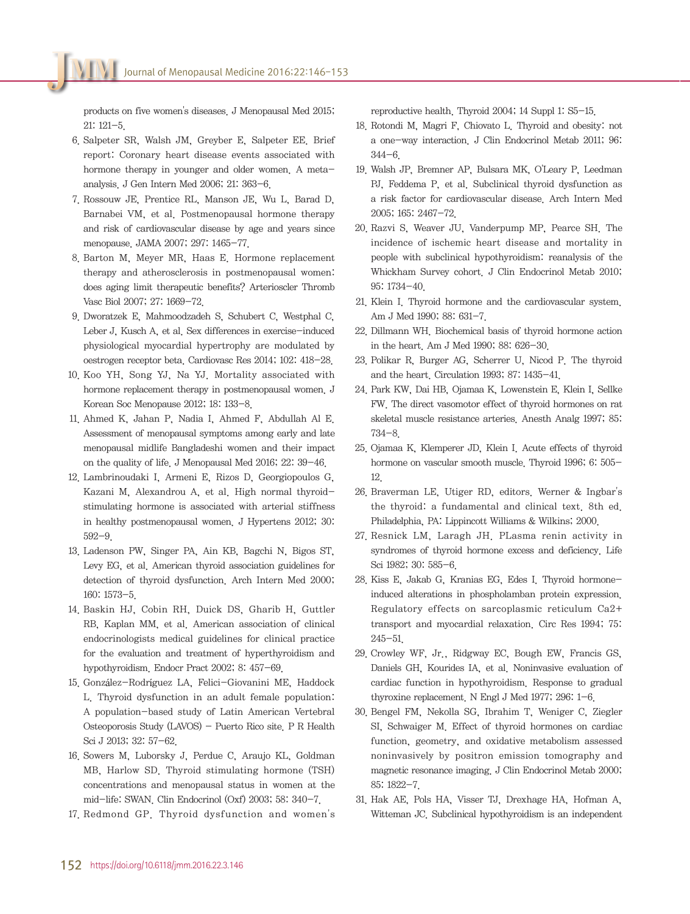products on five women's diseases. J Menopausal Med 2015; 21: 121-5.

- 6. Salpeter SR, Walsh JM, Greyber E, Salpeter EE. Brief report: Coronary heart disease events associated with hormone therapy in younger and older women. A metaanalysis. J Gen Intern Med 2006; 21: 363-6.
- 7. Rossouw JE, Prentice RL, Manson JE, Wu L, Barad D, Barnabei VM, et al. Postmenopausal hormone therapy and risk of cardiovascular disease by age and years since menopause. JAMA 2007; 297: 1465-77.
- 8. Barton M, Meyer MR, Haas E. Hormone replacement therapy and atherosclerosis in postmenopausal women: does aging limit therapeutic benefits? Arterioscler Thromb Vasc Biol 2007; 27: 1669-72.
- 9. Dworatzek E, Mahmoodzadeh S, Schubert C, Westphal C, Leber J, Kusch A, et al. Sex differences in exercise-induced physiological myocardial hypertrophy are modulated by oestrogen receptor beta. Cardiovasc Res 2014; 102: 418-28.
- 10. Koo YH, Song YJ, Na YJ. Mortality associated with hormone replacement therapy in postmenopausal women. J Korean Soc Menopause 2012; 18: 133-8.
- 11. Ahmed K, Jahan P, Nadia I, Ahmed F, Abdullah Al E. Assessment of menopausal symptoms among early and late menopausal midlife Bangladeshi women and their impact on the quality of life. J Menopausal Med 2016; 22: 39-46.
- 12. Lambrinoudaki I, Armeni E, Rizos D, Georgiopoulos G, Kazani M, Alexandrou A, et al. High normal thyroidstimulating hormone is associated with arterial stiffness in healthy postmenopausal women. J Hypertens 2012; 30: 592-9.
- 13. Ladenson PW, Singer PA, Ain KB, Bagchi N, Bigos ST, Levy EG, et al. American thyroid association guidelines for detection of thyroid dysfunction. Arch Intern Med 2000; 160: 1573-5.
- 14. Baskin HJ, Cobin RH, Duick DS, Gharib H, Guttler RB, Kaplan MM, et al. American association of clinical endocrinologists medical guidelines for clinical practice for the evaluation and treatment of hyperthyroidism and hypothyroidism. Endocr Pract 2002; 8: 457-69.
- 15. González-Rodríguez LA, Felici-Giovanini ME, Haddock L. Thyroid dysfunction in an adult female population: A population-based study of Latin American Vertebral Osteoporosis Study (LAVOS) - Puerto Rico site. P R Health Sci J 2013; 32: 57-62.
- 16. Sowers M, Luborsky J, Perdue C, Araujo KL, Goldman MB, Harlow SD. Thyroid stimulating hormone (TSH) concentrations and menopausal status in women at the mid-life: SWAN. Clin Endocrinol (Oxf) 2003; 58: 340-7.
- 17. Redmond GP. Thyroid dysfunction and women's

reproductive health. Thyroid 2004; 14 Suppl 1: S5-15.

- 18. Rotondi M, Magri F, Chiovato L. Thyroid and obesity: not a one-way interaction. J Clin Endocrinol Metab 2011; 96: 344-6.
- 19. Walsh JP, Bremner AP, Bulsara MK, O'Leary P, Leedman PJ, Feddema P, et al. Subclinical thyroid dysfunction as a risk factor for cardiovascular disease. Arch Intern Med 2005; 165: 2467-72.
- 20.Razvi S, Weaver JU, Vanderpump MP, Pearce SH. The incidence of ischemic heart disease and mortality in people with subclinical hypothyroidism: reanalysis of the Whickham Survey cohort. J Clin Endocrinol Metab 2010; 95: 1734-40.
- 21. Klein I. Thyroid hormone and the cardiovascular system. Am J Med 1990; 88: 631-7.
- 22. Dillmann WH. Biochemical basis of thyroid hormone action in the heart. Am J Med 1990; 88: 626-30.
- 23. Polikar R, Burger AG, Scherrer U, Nicod P. The thyroid and the heart. Circulation 1993; 87: 1435-41.
- 24.Park KW, Dai HB, Ojamaa K, Lowenstein E, Klein I, Sellke FW. The direct vasomotor effect of thyroid hormones on rat skeletal muscle resistance arteries. Anesth Analg 1997; 85: 734-8.
- 25. Ojamaa K, Klemperer JD, Klein I. Acute effects of thyroid hormone on vascular smooth muscle. Thyroid 1996; 6: 505-12.
- 26. Braverman LE, Utiger RD, editors. Werner & Ingbar's the thyroid: a fundamental and clinical text. 8th ed. Philadelphia, PA: Lippincott Williams & Wilkins; 2000.
- 27. Resnick LM, Laragh JH. PLasma renin activity in syndromes of thyroid hormone excess and deficiency. Life Sci 1982; 30: 585-6.
- 28. Kiss E, Jakab G, Kranias EG, Edes I. Thyroid hormoneinduced alterations in phospholamban protein expression. Regulatory effects on sarcoplasmic reticulum Ca2+ transport and myocardial relaxation. Circ Res 1994; 75: 245-51.
- 29. Crowley WF, Jr., Ridgway EC, Bough EW, Francis GS, Daniels GH, Kourides IA, et al. Noninvasive evaluation of cardiac function in hypothyroidism. Response to gradual thyroxine replacement. N Engl J Med 1977; 296: 1-6.
- 30.Bengel FM, Nekolla SG, Ibrahim T, Weniger C, Ziegler SI, Schwaiger M. Effect of thyroid hormones on cardiac function, geometry, and oxidative metabolism assessed noninvasively by positron emission tomography and magnetic resonance imaging. J Clin Endocrinol Metab 2000; 85: 1822-7.
- 31. Hak AE, Pols HA, Visser TJ, Drexhage HA, Hofman A, Witteman JC. Subclinical hypothyroidism is an independent